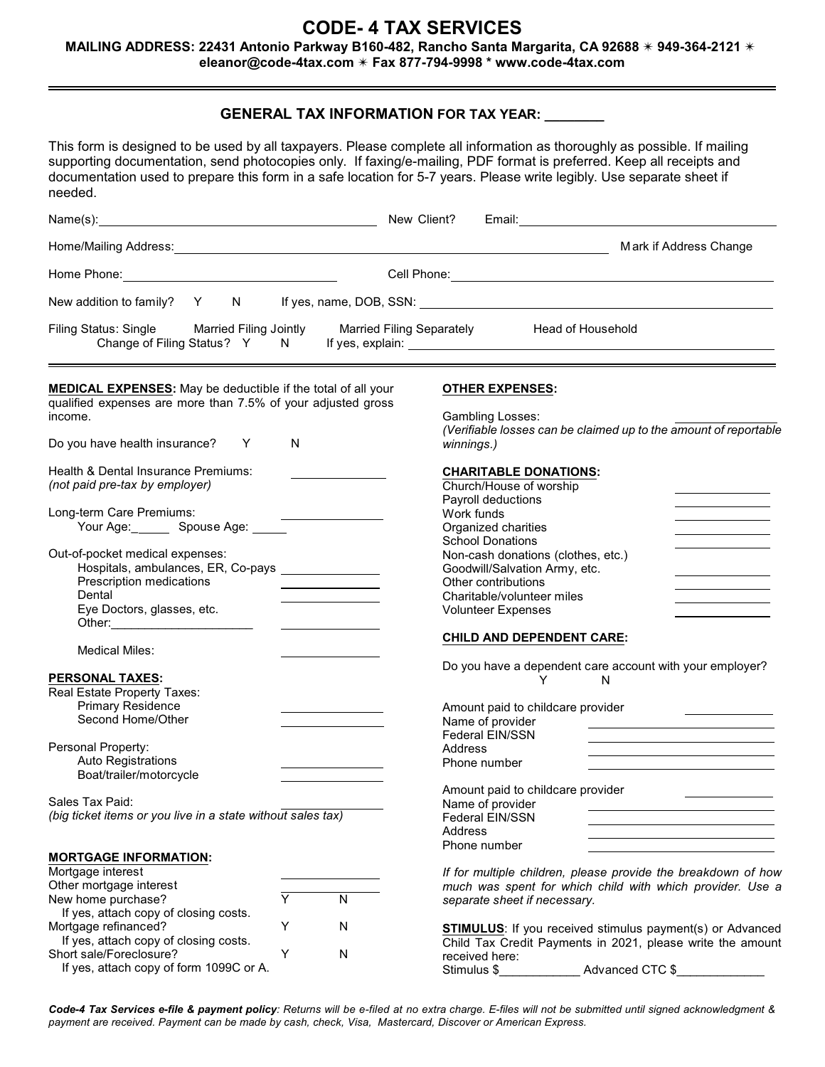# **CODE- 4 TAX SERVICES**

## **MAILING ADDRESS: 22431 Antonio Parkway B160-482, Rancho Santa Margarita, CA 92688**  $*$  **949-364-2121**  $*$

**eleanor@code-4tax.com** u **Fax 877-794-9998 \* www.code-4tax.com**

### **GENERAL TAX INFORMATION FOR TAX YEAR: \_\_\_\_\_\_\_\_**

This form is designed to be used by all taxpayers. Please complete all information as thoroughly as possible. If mailing supporting documentation, send photocopies only. If faxing/e-mailing, PDF format is preferred. Keep all receipts and documentation used to prepare this form in a safe location for 5-7 years. Please write legibly. Use separate sheet if needed.

| neegeg.                                                                                                                                                    |                                                                     |                                                                                                                                                       |                                                                                                                                |
|------------------------------------------------------------------------------------------------------------------------------------------------------------|---------------------------------------------------------------------|-------------------------------------------------------------------------------------------------------------------------------------------------------|--------------------------------------------------------------------------------------------------------------------------------|
| Name(s): New Client?                                                                                                                                       |                                                                     | Email: <u>___________________________</u>                                                                                                             |                                                                                                                                |
|                                                                                                                                                            |                                                                     |                                                                                                                                                       | Mark if Address Change                                                                                                         |
| Home Phone: Note: Note: Note: Note: Note: Note: Note: Note: Note: Note: Note: Note: Note: Note: Note: Note: No                                             |                                                                     |                                                                                                                                                       |                                                                                                                                |
| New addition to family? Y N                                                                                                                                |                                                                     |                                                                                                                                                       |                                                                                                                                |
| Filing Status: Single Married Filing Jointly                                                                                                               | <b>Married Filing Separately</b>                                    | Head of Household                                                                                                                                     |                                                                                                                                |
| MEDICAL EXPENSES: May be deductible if the total of all your<br>qualified expenses are more than 7.5% of your adjusted gross<br>income.                    |                                                                     | <b>OTHER EXPENSES:</b><br>Gambling Losses:                                                                                                            | (Verifiable losses can be claimed up to the amount of reportable                                                               |
| Do you have health insurance? Y<br>N.                                                                                                                      |                                                                     | winnings.)                                                                                                                                            |                                                                                                                                |
| Health & Dental Insurance Premiums:<br>(not paid pre-tax by employer)                                                                                      |                                                                     | <b>CHARITABLE DONATIONS:</b><br>Church/House of worship<br>Payroll deductions                                                                         |                                                                                                                                |
| Long-term Care Premiums:<br>Your Age: ________ Spouse Age: ______                                                                                          |                                                                     | Work funds<br>Organized charities<br><b>School Donations</b>                                                                                          |                                                                                                                                |
| Out-of-pocket medical expenses:<br>Hospitals, ambulances, ER, Co-pays ________________<br>Prescription medications<br>Dental<br>Eye Doctors, glasses, etc. | $\overline{\phantom{a}}$ . The contract of $\overline{\phantom{a}}$ | Non-cash donations (clothes, etc.)<br>Goodwill/Salvation Army, etc.<br>Other contributions<br>Charitable/volunteer miles<br><b>Volunteer Expenses</b> | and the control of the control of the control of                                                                               |
| <b>Medical Miles:</b>                                                                                                                                      |                                                                     | <b>CHILD AND DEPENDENT CARE:</b>                                                                                                                      |                                                                                                                                |
| <b>PERSONAL TAXES:</b><br>Real Estate Property Taxes:<br><b>Primary Residence</b><br>Second Home/Other                                                     |                                                                     | Do you have a dependent care account with your employer?<br>N<br>Y<br>Amount paid to childcare provider<br>Name of provider                           |                                                                                                                                |
| Personal Property:<br><b>Auto Registrations</b><br>Boat/trailer/motorcycle                                                                                 |                                                                     | Federal EIN/SSN<br><b>Address</b><br>Phone number                                                                                                     |                                                                                                                                |
| Sales Tax Paid:<br>(big ticket items or you live in a state without sales tax)                                                                             |                                                                     | Amount paid to childcare provider<br>Name of provider<br>Federal EIN/SSN<br>Address<br>Phone number                                                   |                                                                                                                                |
| <b>MORTGAGE INFORMATION:</b><br>Mortgage interest<br>Other mortgage interest<br>Y<br>New home purchase?                                                    | N                                                                   | separate sheet if necessary.                                                                                                                          | If for multiple children, please provide the breakdown of how<br>much was spent for which child with which provider. Use a     |
| If yes, attach copy of closing costs.<br>Mortgage refinanced?<br>Υ<br>If yes, attach copy of closing costs.                                                | N                                                                   |                                                                                                                                                       | <b>STIMULUS:</b> If you received stimulus payment(s) or Advanced<br>Child Tax Credit Payments in 2021, please write the amount |

Code-4 Tax Services e-file & payment policy: Returns will be e-filed at no extra charge. E-files will not be submitted until signed acknowledgment & *payment are received. Payment can be made by cash, check, Visa, Mastercard, Discover or American Express.*

received here:<br>Stimulus \$

Advanced CTC \$

Short sale/Foreclosure? Y N

If yes, attach copy of form 1099C or A.